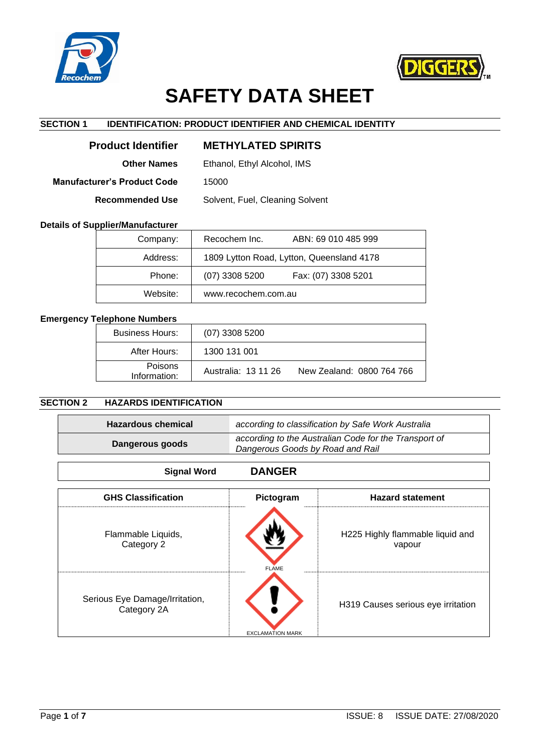



# **SAFETY DATA SHEET**

# **SECTION 1 IDENTIFICATION: PRODUCT IDENTIFIER AND CHEMICAL IDENTITY**

| <b>Product Identifier</b>   | <b>METHYLATED SPIRITS</b>       |
|-----------------------------|---------------------------------|
| <b>Other Names</b>          | Ethanol, Ethyl Alcohol, IMS     |
| Manufacturer's Product Code | 15000                           |
| <b>Recommended Use</b>      | Solvent, Fuel, Cleaning Solvent |
|                             |                                 |

#### **Details of Supplier/Manufacturer**

| Company: | Recochem Inc.<br>ABN: 69 010 485 999      |
|----------|-------------------------------------------|
| Address: | 1809 Lytton Road, Lytton, Queensland 4178 |
| Phone:   | $(07)$ 3308 5200<br>Fax: (07) 3308 5201   |
| Website: | www.recochem.com.au                       |

# **Emergency Telephone Numbers**

| <b>Business Hours:</b>         | $(07)$ 3308 5200    |                           |
|--------------------------------|---------------------|---------------------------|
| After Hours:                   | 1300 131 001        |                           |
| <b>Poisons</b><br>Information: | Australia: 13 11 26 | New Zealand: 0800 764 766 |

# **SECTION 2 HAZARDS IDENTIFICATION**

| <b>Hazardous chemical</b>                                                                                    |               | according to classification by Safe Work Australia |
|--------------------------------------------------------------------------------------------------------------|---------------|----------------------------------------------------|
| according to the Australian Code for the Transport of<br>Dangerous goods<br>Dangerous Goods by Road and Rail |               |                                                    |
| <b>Signal Word</b>                                                                                           | <b>DANGER</b> |                                                    |
| <b>GHS Classification</b><br><b>Hazard statement</b><br>Pictogram                                            |               |                                                    |
| Flammable Liquids,                                                                                           |               | H225 Highly flammable liquid and                   |

| Category 2                                    |                         | .<br>vapour                        |
|-----------------------------------------------|-------------------------|------------------------------------|
|                                               | <b>FLAME</b>            |                                    |
| Serious Eye Damage/Irritation,<br>Category 2A | <b>FXCLAMATION MARK</b> | H319 Causes serious eye irritation |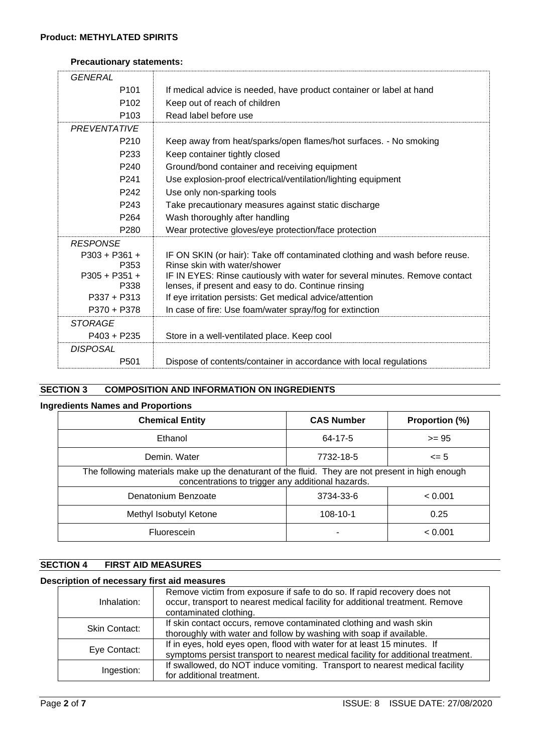# **Precautionary statements:**

| <b>GENERAL</b>          |                                                                                                                                    |
|-------------------------|------------------------------------------------------------------------------------------------------------------------------------|
| P <sub>101</sub>        | If medical advice is needed, have product container or label at hand                                                               |
| P <sub>102</sub>        | Keep out of reach of children                                                                                                      |
| P <sub>103</sub>        | Read label before use                                                                                                              |
| <b>PREVENTATIVE</b>     |                                                                                                                                    |
| P <sub>210</sub>        | Keep away from heat/sparks/open flames/hot surfaces. - No smoking                                                                  |
| P <sub>233</sub>        | Keep container tightly closed                                                                                                      |
| P <sub>240</sub>        | Ground/bond container and receiving equipment                                                                                      |
| P <sub>241</sub>        | Use explosion-proof electrical/ventilation/lighting equipment                                                                      |
| P <sub>242</sub>        | Use only non-sparking tools                                                                                                        |
| P <sub>243</sub>        | Take precautionary measures against static discharge                                                                               |
| P <sub>264</sub>        | Wash thoroughly after handling                                                                                                     |
| P280                    | Wear protective gloves/eye protection/face protection                                                                              |
| <b>RESPONSE</b>         |                                                                                                                                    |
| $P303 + P361 +$         | IF ON SKIN (or hair): Take off contaminated clothing and wash before reuse.                                                        |
| P353                    | Rinse skin with water/shower                                                                                                       |
| $P305 + P351 +$<br>P338 | IF IN EYES: Rinse cautiously with water for several minutes. Remove contact<br>lenses, if present and easy to do. Continue rinsing |
| $P337 + P313$           | If eye irritation persists: Get medical advice/attention                                                                           |
| P370 + P378             | In case of fire: Use foam/water spray/fog for extinction                                                                           |
| <b>STORAGE</b>          |                                                                                                                                    |
| $P403 + P235$           | Store in a well-ventilated place. Keep cool                                                                                        |
| <b>DISPOSAL</b>         |                                                                                                                                    |
| P <sub>501</sub>        | Dispose of contents/container in accordance with local regulations                                                                 |

# **SECTION 3 COMPOSITION AND INFORMATION ON INGREDIENTS**

## **Ingredients Names and Proportions**

| <b>Chemical Entity</b>                                                                                                                                | <b>CAS Number</b> | Proportion (%) |
|-------------------------------------------------------------------------------------------------------------------------------------------------------|-------------------|----------------|
| Ethanol                                                                                                                                               | 64-17-5           | $>= 95$        |
| Demin. Water                                                                                                                                          | 7732-18-5         | $\leq$ 5       |
| The following materials make up the denaturant of the fluid. They are not present in high enough<br>concentrations to trigger any additional hazards. |                   |                |
| Denatonium Benzoate                                                                                                                                   | 3734-33-6         | < 0.001        |
| Methyl Isobutyl Ketone                                                                                                                                | 108-10-1          | 0.25           |
| Fluorescein                                                                                                                                           | ٠                 | < 0.001        |

# **SECTION 4 FIRST AID MEASURES**

#### **Description of necessary first aid measures**

| Inhalation:          | Remove victim from exposure if safe to do so. If rapid recovery does not<br>occur, transport to nearest medical facility for additional treatment. Remove<br>contaminated clothing. |
|----------------------|-------------------------------------------------------------------------------------------------------------------------------------------------------------------------------------|
| <b>Skin Contact:</b> | If skin contact occurs, remove contaminated clothing and wash skin<br>thoroughly with water and follow by washing with soap if available.                                           |
| Eye Contact:         | If in eyes, hold eyes open, flood with water for at least 15 minutes. If<br>symptoms persist transport to nearest medical facility for additional treatment.                        |
| Ingestion:           | If swallowed, do NOT induce vomiting. Transport to nearest medical facility<br>for additional treatment.                                                                            |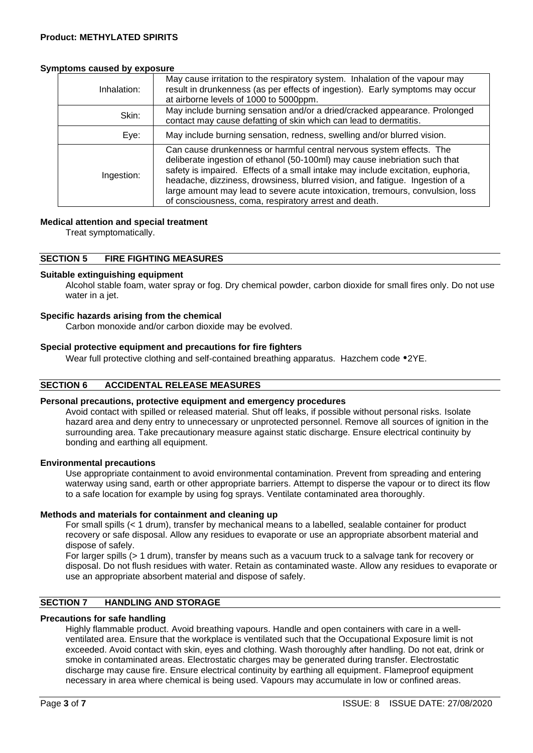## **Symptoms caused by exposure**

| Inhalation: | May cause irritation to the respiratory system. Inhalation of the vapour may<br>result in drunkenness (as per effects of ingestion). Early symptoms may occur<br>at airborne levels of 1000 to 5000ppm.                                                                                                                                                                                                                                                          |  |
|-------------|------------------------------------------------------------------------------------------------------------------------------------------------------------------------------------------------------------------------------------------------------------------------------------------------------------------------------------------------------------------------------------------------------------------------------------------------------------------|--|
| Skin:       | May include burning sensation and/or a dried/cracked appearance. Prolonged<br>contact may cause defatting of skin which can lead to dermatitis.                                                                                                                                                                                                                                                                                                                  |  |
| Eye:        | May include burning sensation, redness, swelling and/or blurred vision.                                                                                                                                                                                                                                                                                                                                                                                          |  |
| Ingestion:  | Can cause drunkenness or harmful central nervous system effects. The<br>deliberate ingestion of ethanol (50-100ml) may cause inebriation such that<br>safety is impaired. Effects of a small intake may include excitation, euphoria,<br>headache, dizziness, drowsiness, blurred vision, and fatigue. Ingestion of a<br>large amount may lead to severe acute intoxication, tremours, convulsion, loss<br>of consciousness, coma, respiratory arrest and death. |  |

## **Medical attention and special treatment**

Treat symptomatically.

## **SECTION 5 FIRE FIGHTING MEASURES**

#### **Suitable extinguishing equipment**

Alcohol stable foam, water spray or fog. Dry chemical powder, carbon dioxide for small fires only. Do not use water in a jet.

#### **Specific hazards arising from the chemical**

Carbon monoxide and/or carbon dioxide may be evolved.

## **Special protective equipment and precautions for fire fighters**

Wear full protective clothing and self-contained breathing apparatus. Hazchem code •2YE.

## **SECTION 6 ACCIDENTAL RELEASE MEASURES**

#### **Personal precautions, protective equipment and emergency procedures**

Avoid contact with spilled or released material. Shut off leaks, if possible without personal risks. Isolate hazard area and deny entry to unnecessary or unprotected personnel. Remove all sources of ignition in the surrounding area. Take precautionary measure against static discharge. Ensure electrical continuity by bonding and earthing all equipment.

#### **Environmental precautions**

Use appropriate containment to avoid environmental contamination. Prevent from spreading and entering waterway using sand, earth or other appropriate barriers. Attempt to disperse the vapour or to direct its flow to a safe location for example by using fog sprays. Ventilate contaminated area thoroughly.

#### **Methods and materials for containment and cleaning up**

For small spills (< 1 drum), transfer by mechanical means to a labelled, sealable container for product recovery or safe disposal. Allow any residues to evaporate or use an appropriate absorbent material and dispose of safely.

For larger spills (> 1 drum), transfer by means such as a vacuum truck to a salvage tank for recovery or disposal. Do not flush residues with water. Retain as contaminated waste. Allow any residues to evaporate or use an appropriate absorbent material and dispose of safely.

# **SECTION 7 HANDLING AND STORAGE**

#### **Precautions for safe handling**

Highly flammable product. Avoid breathing vapours. Handle and open containers with care in a wellventilated area. Ensure that the workplace is ventilated such that the Occupational Exposure limit is not exceeded. Avoid contact with skin, eyes and clothing. Wash thoroughly after handling. Do not eat, drink or smoke in contaminated areas. Electrostatic charges may be generated during transfer. Electrostatic discharge may cause fire. Ensure electrical continuity by earthing all equipment. Flameproof equipment necessary in area where chemical is being used. Vapours may accumulate in low or confined areas.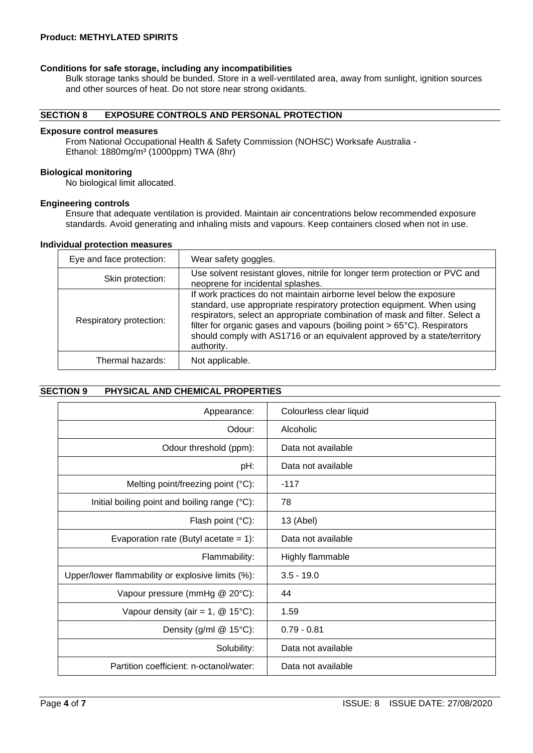## **Product: METHYLATED SPIRITS**

#### **Conditions for safe storage, including any incompatibilities**

Bulk storage tanks should be bunded. Store in a well-ventilated area, away from sunlight, ignition sources and other sources of heat. Do not store near strong oxidants.

## **SECTION 8 EXPOSURE CONTROLS AND PERSONAL PROTECTION**

#### **Exposure control measures**

From National Occupational Health & Safety Commission (NOHSC) Worksafe Australia - Ethanol: 1880mg/m<sup>3</sup> (1000ppm) TWA (8hr)

#### **Biological monitoring**

No biological limit allocated.

#### **Engineering controls**

Ensure that adequate ventilation is provided. Maintain air concentrations below recommended exposure standards. Avoid generating and inhaling mists and vapours. Keep containers closed when not in use.

#### **Individual protection measures**

| Eye and face protection: | Wear safety goggles.                                                                                                                                                                                                                                                                                                                                                                               |
|--------------------------|----------------------------------------------------------------------------------------------------------------------------------------------------------------------------------------------------------------------------------------------------------------------------------------------------------------------------------------------------------------------------------------------------|
| Skin protection:         | Use solvent resistant gloves, nitrile for longer term protection or PVC and<br>neoprene for incidental splashes.                                                                                                                                                                                                                                                                                   |
| Respiratory protection:  | If work practices do not maintain airborne level below the exposure<br>standard, use appropriate respiratory protection equipment. When using<br>respirators, select an appropriate combination of mask and filter. Select a<br>filter for organic gases and vapours (boiling point > 65°C). Respirators<br>should comply with AS1716 or an equivalent approved by a state/territory<br>authority. |
| Thermal hazards:         | Not applicable.                                                                                                                                                                                                                                                                                                                                                                                    |

#### **SECTION 9 PHYSICAL AND CHEMICAL PROPERTIES**

| Appearance:                                       | Colourless clear liquid |
|---------------------------------------------------|-------------------------|
| Odour:                                            | Alcoholic               |
| Odour threshold (ppm):                            | Data not available      |
| pH:                                               | Data not available      |
| Melting point/freezing point (°C):                | $-117$                  |
| Initial boiling point and boiling range (°C):     | 78                      |
| Flash point $(^{\circ}C)$ :                       | 13 (Abel)               |
| Evaporation rate (Butyl acetate = $1$ ):          | Data not available      |
| Flammability:                                     | Highly flammable        |
| Upper/lower flammability or explosive limits (%): | $3.5 - 19.0$            |
| Vapour pressure (mmHg @ 20°C):                    | 44                      |
| Vapour density (air = 1, $@$ 15°C):               | 1.59                    |
| Density (g/ml $@$ 15°C):                          | $0.79 - 0.81$           |
| Solubility:                                       | Data not available      |
| Partition coefficient: n-octanol/water:           | Data not available      |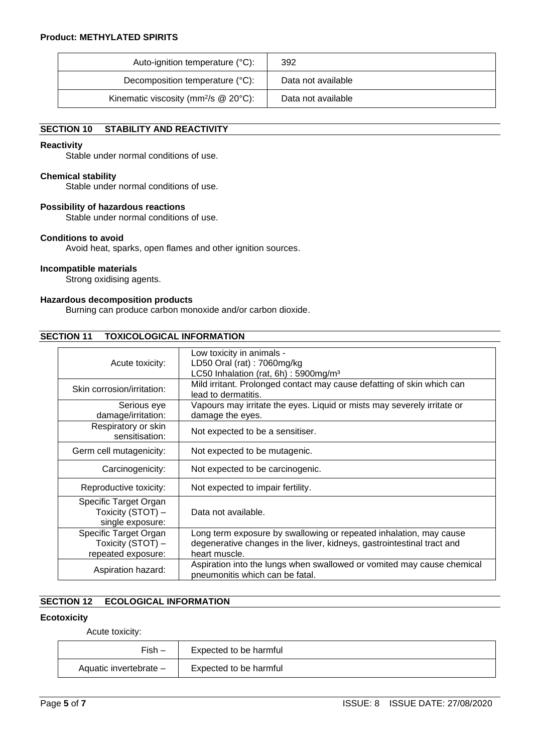| Auto-ignition temperature (°C):                      | 392                |
|------------------------------------------------------|--------------------|
| Decomposition temperature (°C):                      | Data not available |
| Kinematic viscosity (mm $^{2}/s$ @ 20 $^{\circ}$ C): | Data not available |

# **SECTION 10 STABILITY AND REACTIVITY**

## **Reactivity**

Stable under normal conditions of use.

#### **Chemical stability**

Stable under normal conditions of use.

#### **Possibility of hazardous reactions**

Stable under normal conditions of use.

#### **Conditions to avoid**

Avoid heat, sparks, open flames and other ignition sources.

#### **Incompatible materials**

Strong oxidising agents.

## **Hazardous decomposition products**

Burning can produce carbon monoxide and/or carbon dioxide.

## **SECTION 11 TOXICOLOGICAL INFORMATION**

| Acute toxicity:                                                  | Low toxicity in animals -<br>LD50 Oral (rat): 7060mg/kg<br>LC50 Inhalation (rat, 6h): 5900mg/m <sup>3</sup>                                                   |  |
|------------------------------------------------------------------|---------------------------------------------------------------------------------------------------------------------------------------------------------------|--|
| Skin corrosion/irritation:                                       | Mild irritant. Prolonged contact may cause defatting of skin which can<br>lead to dermatitis.                                                                 |  |
| Serious eye<br>damage/irritation:                                | Vapours may irritate the eyes. Liquid or mists may severely irritate or<br>damage the eyes.                                                                   |  |
| Respiratory or skin<br>sensitisation:                            | Not expected to be a sensitiser.                                                                                                                              |  |
| Germ cell mutagenicity:                                          | Not expected to be mutagenic.                                                                                                                                 |  |
| Carcinogenicity:                                                 | Not expected to be carcinogenic.                                                                                                                              |  |
| Reproductive toxicity:                                           | Not expected to impair fertility.                                                                                                                             |  |
| Specific Target Organ<br>Toxicity (STOT) -<br>single exposure:   | Data not available.                                                                                                                                           |  |
| Specific Target Organ<br>Toxicity (STOT) -<br>repeated exposure: | Long term exposure by swallowing or repeated inhalation, may cause<br>degenerative changes in the liver, kidneys, gastrointestinal tract and<br>heart muscle. |  |
| Aspiration hazard:                                               | Aspiration into the lungs when swallowed or vomited may cause chemical<br>pneumonitis which can be fatal.                                                     |  |

# **SECTION 12 ECOLOGICAL INFORMATION**

#### **Ecotoxicity**

Acute toxicity:

| $Fish -$               | Expected to be harmful |
|------------------------|------------------------|
| Aquatic invertebrate - | Expected to be harmful |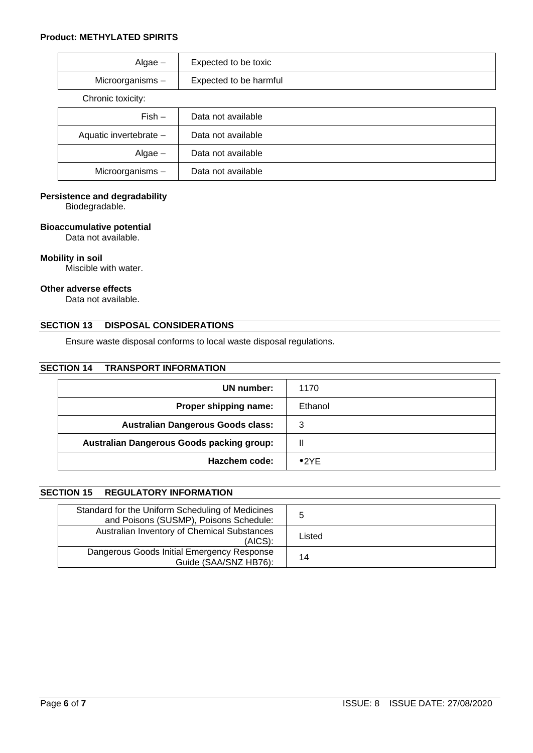#### **Product: METHYLATED SPIRITS**

| $Algae -$              | Expected to be toxic   |
|------------------------|------------------------|
| Microorganisms-        | Expected to be harmful |
| Chronic toxicity:      |                        |
| $Fish -$               | Data not available     |
| Aquatic invertebrate - | Data not available     |
| $Algae -$              | Data not available     |
| Microorganisms-        | Data not available     |

## **Persistence and degradability**

Biodegradable.

#### **Bioaccumulative potential**

Data not available.

#### **Mobility in soil**

Miscible with water.

#### **Other adverse effects**

Data not available.

## **SECTION 13 DISPOSAL CONSIDERATIONS**

Ensure waste disposal conforms to local waste disposal regulations.

#### **SECTION 14 TRANSPORT INFORMATION**

| UN number:                                | 1170    |
|-------------------------------------------|---------|
| Proper shipping name:                     | Ethanol |
| <b>Australian Dangerous Goods class:</b>  | З       |
| Australian Dangerous Goods packing group: | Ш       |
| Hazchem code:                             | •2YF    |

# **SECTION 15 REGULATORY INFORMATION**

| Standard for the Uniform Scheduling of Medicines<br>and Poisons (SUSMP), Poisons Schedule: |        |
|--------------------------------------------------------------------------------------------|--------|
| Australian Inventory of Chemical Substances<br>$(AICS)$ :                                  | Listed |
| Dangerous Goods Initial Emergency Response<br>Guide (SAA/SNZ HB76):                        | 14     |